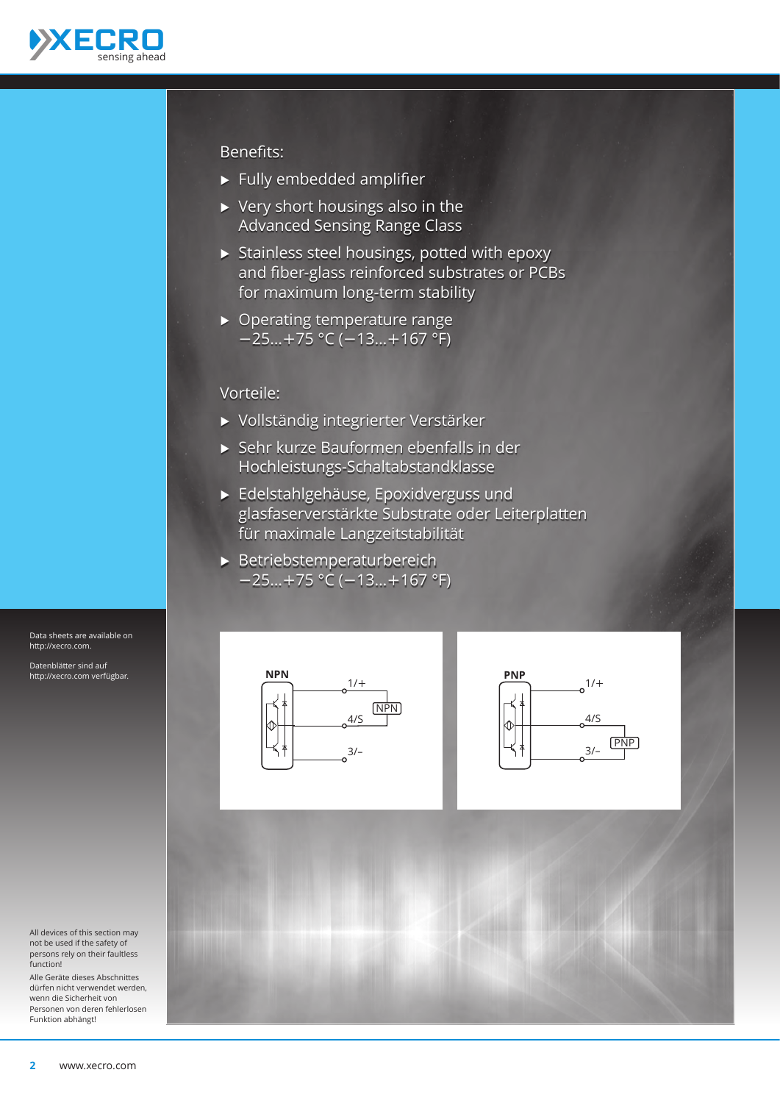

## Benefits:

- $\blacktriangleright$  Fully embedded amplifier
- $\triangleright$  Very short housings also in the Advanced Sensing Range Class
- $\triangleright$  Stainless steel housings, potted with epoxy and fiber-glass reinforced substrates or PCBs for maximum long-term stability
- $\triangleright$  Operating temperature range −25…+75 °C (−13…+167 °F)

## Vorteile:

- Ѝ Vollständig integrierter Verstärker
- Ѝ Sehr kurze Bauformen ebenfalls in der Hochleistungs-Schaltabstandklasse
- Ѝ Edelstahlgehäuse, Epoxidverguss und glasfaserverstärkte Substrate oder Leiterplatten für maximale Langzeitstabilität
- $\blacktriangleright$  Betriebstemperaturbereich −25…+75 °C (−13…+167 °F)







Data sheets are available on http://xecro.com. Datenblätter sind auf http://xecro.com verfügbar.

Alle Geräte dieses Abschnittes dürfen nicht verwendet werden, wenn die Sicherheit von Personen von deren fehlerlosen Funktion abhängt!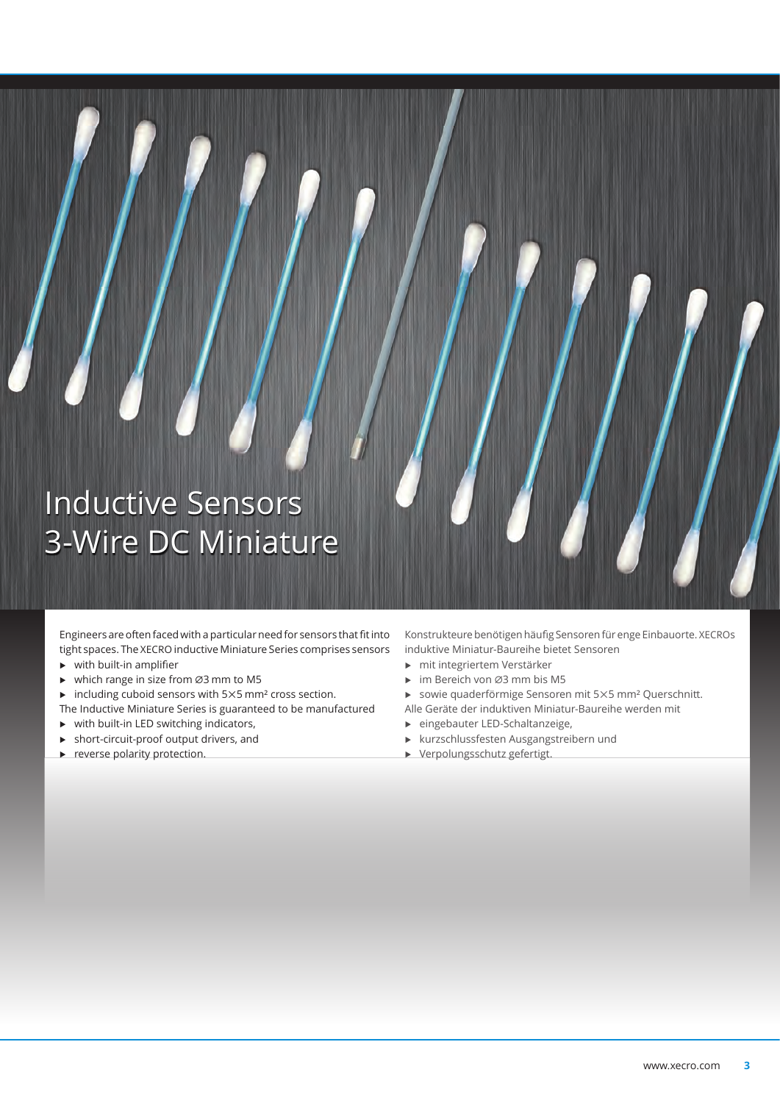## Inductive Sensors 3-Wire DC Miniature

Engineers are often faced with a particular need for sensors that fit into tight spaces. The XECRO inductive Miniature Series comprises sensors

- $\triangleright$  with built-in amplifier
- Ѝ which range in size from ⌀3 mm to M5
- $\blacktriangleright$  including cuboid sensors with 5×5 mm<sup>2</sup> cross section.
- The Inductive Miniature Series is guaranteed to be manufactured
- $\triangleright$  with built-in LED switching indicators,
- $\blacktriangleright$  short-circuit-proof output drivers, and
- $\blacktriangleright$  reverse polarity protection.

Konstrukteure benötigen häufig Sensoren für enge Einbauorte. XECROs induktive Miniatur-Baureihe bietet Sensoren

- Ѝ mit integriertem Verstärker
- Ѝ im Bereich von ⌀3 mm bis M5
- Ѝ sowie quaderförmige Sensoren mit 5×5 mm² Querschnitt.
- Alle Geräte der induktiven Miniatur-Baureihe werden mit
- Ѝ eingebauter LED-Schaltanzeige,
- Ѝ kurzschlussfesten Ausgangstreibern und
- Ѝ Verpolungsschutz gefertigt.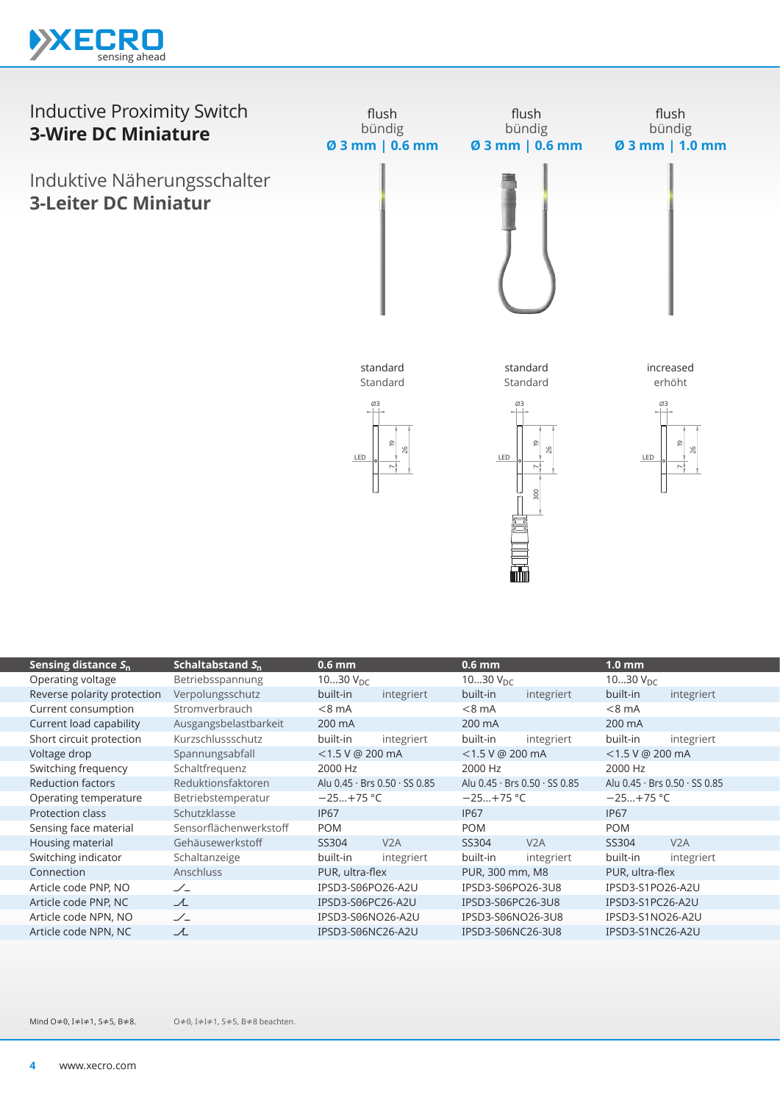



| Schaltabstand S <sub>n</sub> | $0.6$ mm             |            | $0.6$ mm                                                                                                                                                                                |            | 1.0 <sub>mm</sub>                                                                                                                                                         |                               |
|------------------------------|----------------------|------------|-----------------------------------------------------------------------------------------------------------------------------------------------------------------------------------------|------------|---------------------------------------------------------------------------------------------------------------------------------------------------------------------------|-------------------------------|
| Betriebsspannung             | 1030 $V_{\text{DC}}$ |            | 1030 $V_{DC}$                                                                                                                                                                           |            | 1030 $V_{\text{DC}}$                                                                                                                                                      |                               |
| Verpolungsschutz             | built-in             | integriert | built-in                                                                                                                                                                                | integriert | built-in                                                                                                                                                                  | integriert                    |
| Stromverbrauch               | $< 8$ mA             |            | $< 8$ mA                                                                                                                                                                                |            | $< 8$ mA                                                                                                                                                                  |                               |
| Ausgangsbelastbarkeit        | 200 mA               |            | 200 mA                                                                                                                                                                                  |            | 200 mA                                                                                                                                                                    |                               |
| Kurzschlussschutz            | built-in             | integriert | built-in                                                                                                                                                                                | integriert | built-in                                                                                                                                                                  | integriert                    |
| Spannungsabfall              |                      |            |                                                                                                                                                                                         |            | $<$ 1.5 V @ 200 mA                                                                                                                                                        |                               |
| Schaltfrequenz               | 2000 Hz              |            | 2000 Hz                                                                                                                                                                                 |            | 2000 Hz                                                                                                                                                                   |                               |
| Reduktionsfaktoren           |                      |            |                                                                                                                                                                                         |            |                                                                                                                                                                           | Alu 0.45 · Brs 0.50 · SS 0.85 |
| Betriebstemperatur           |                      |            |                                                                                                                                                                                         |            | $-25+75$ °C                                                                                                                                                               |                               |
| Schutzklasse                 | <b>IP67</b>          |            | <b>IP67</b>                                                                                                                                                                             |            | <b>IP67</b>                                                                                                                                                               |                               |
| Sensorflächenwerkstoff       | <b>POM</b>           |            | <b>POM</b>                                                                                                                                                                              |            | <b>POM</b>                                                                                                                                                                |                               |
| Gehäusewerkstoff             | SS304                | V2A        | SS304                                                                                                                                                                                   | V2A        | SS304                                                                                                                                                                     | V2A                           |
| Schaltanzeige                | built-in             | integriert | built-in                                                                                                                                                                                | integriert | built-in                                                                                                                                                                  | integriert                    |
| Anschluss                    |                      |            |                                                                                                                                                                                         |            | PUR, ultra-flex                                                                                                                                                           |                               |
| $\angle$                     |                      |            |                                                                                                                                                                                         |            | IPSD3-S1PO26-A2U                                                                                                                                                          |                               |
| 工                            |                      |            |                                                                                                                                                                                         |            | IPSD3-S1PC26-A2U                                                                                                                                                          |                               |
| $\angle$                     |                      |            |                                                                                                                                                                                         |            | IPSD3-S1NO26-A2U                                                                                                                                                          |                               |
| ᆺ                            |                      |            |                                                                                                                                                                                         |            | IPSD3-S1NC26-A2U                                                                                                                                                          |                               |
|                              |                      |            | $<$ 1.5 V @ 200 mA<br>Alu $0.45 \cdot$ Brs $0.50 \cdot$ SS $0.85$<br>$-25+75$ °C<br>PUR, ultra-flex<br>IPSD3-S06PO26-A2U<br>IPSD3-S06PC26-A2U<br>IPSD3-S06NO26-A2U<br>IPSD3-S06NC26-A2U |            | $<$ 1.5 V @ 200 mA<br>Alu 0.45 · Brs 0.50 · SS 0.85<br>$-25+75$ °C<br>PUR, 300 mm, M8<br>IPSD3-S06PO26-3U8<br>IPSD3-S06PC26-3U8<br>IPSD3-S06NO26-3U8<br>IPSD3-S06NC26-3U8 |                               |

O≠0, I≠l≠1, S≠5, B≠8 beachten. Mind O≠0, I≠l≠1, S≠5, B≠8.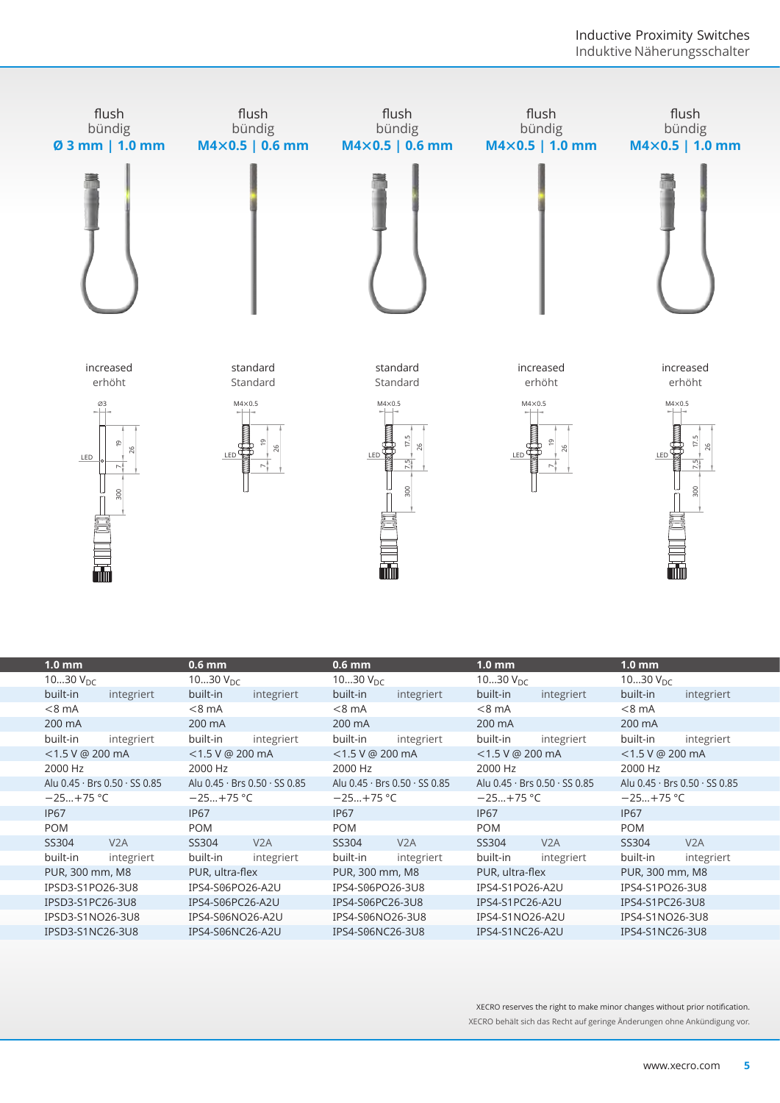

| LED                | $\overline{\omega}$<br>26<br>300<br>mm | LED              | σ<br>26                       | Þ.<br>26<br>LED<br>$\frac{15}{10}$<br>300<br><b>alur</b> |                               | LED               |                               |                                              | Þ.<br>$\frac{15}{10}$<br>300<br><b>min</b> |  |  |
|--------------------|----------------------------------------|------------------|-------------------------------|----------------------------------------------------------|-------------------------------|-------------------|-------------------------------|----------------------------------------------|--------------------------------------------|--|--|
| $1.0 \text{ mm}$   |                                        | $0.6$ mm         |                               | $0.6$ mm                                                 |                               | 1.0 <sub>mm</sub> |                               | $1.0 \text{ mm}$                             |                                            |  |  |
| 1030 $V_{DC}$      |                                        | 1030 $V_{DC}$    |                               | 1030 $V_{DC}$                                            |                               | 1030 $V_{DC}$     |                               | 1030 $V_{DC}$                                |                                            |  |  |
| built-in           | integriert                             | built-in         | integriert                    | built-in                                                 | integriert                    | built-in          | integriert                    | built-in                                     | integriert                                 |  |  |
| $<8$ mA            |                                        | $<8$ mA          |                               | $< 8$ mA                                                 |                               | $< 8$ mA          |                               | $<8$ mA                                      |                                            |  |  |
| 200 mA             |                                        | 200 mA           |                               | 200 mA                                                   |                               | 200 mA            |                               | 200 mA                                       |                                            |  |  |
| built-in           | integriert                             | built-in         | integriert                    | built-in                                                 | integriert                    | built-in          | integriert                    | built-in                                     | integriert                                 |  |  |
| $<$ 1.5 V @ 200 mA |                                        | <1.5 V @ 200 mA  |                               | <1.5 V @ 200 mA                                          |                               | <1.5 V @ 200 mA   |                               | <1.5 V @ 200 mA                              |                                            |  |  |
| 2000 Hz            |                                        | 2000 Hz          |                               | 2000 Hz                                                  |                               | 2000 Hz           |                               | 2000 Hz                                      |                                            |  |  |
|                    | Alu 0.45 · Brs 0.50 · SS 0.85          |                  | Alu 0.45 · Brs 0.50 · SS 0.85 |                                                          | Alu 0.45 · Brs 0.50 · SS 0.85 |                   | Alu 0.45 · Brs 0.50 · SS 0.85 | Alu 0.45 · Brs 0.50 · SS 0.85<br>$-25+75$ °C |                                            |  |  |
| $-25+75$ °C        |                                        | $-25+75$ °C      |                               |                                                          | $-25+75$ °C                   |                   | $-25+75$ °C                   |                                              |                                            |  |  |
| <b>IP67</b>        |                                        | <b>IP67</b>      |                               | <b>IP67</b>                                              |                               | <b>IP67</b>       |                               | <b>IP67</b>                                  |                                            |  |  |
| <b>POM</b>         |                                        | <b>POM</b>       |                               | <b>POM</b>                                               |                               | <b>POM</b>        |                               | <b>POM</b>                                   |                                            |  |  |
| SS304              | V <sub>2</sub> A                       | SS304            | V <sub>2</sub> A              | SS304                                                    | V <sub>2</sub> A              | SS304             | V <sub>2</sub> A              | SS304                                        | V <sub>2</sub> A                           |  |  |
| built-in           | integriert                             | built-in         | integriert                    | built-in                                                 | integriert                    | built-in          | integriert                    | built-in                                     | integriert                                 |  |  |
| PUR, 300 mm, M8    |                                        | PUR, ultra-flex  |                               | PUR, 300 mm, M8                                          |                               | PUR, ultra-flex   |                               | PUR, 300 mm, M8                              |                                            |  |  |
| IPSD3-S1PO26-3U8   |                                        | IPS4-S06PO26-A2U |                               | IPS4-S06PO26-3U8                                         |                               | IPS4-S1PO26-A2U   |                               | IPS4-S1PO26-3U8                              |                                            |  |  |
| IPSD3-S1PC26-3U8   |                                        | IPS4-S06PC26-A2U |                               | IPS4-S06PC26-3U8                                         |                               | IPS4-S1PC26-A2U   |                               | IPS4-S1PC26-3U8                              |                                            |  |  |
| IPSD3-S1NO26-3U8   |                                        | IPS4-S06NO26-A2U |                               | IPS4-S06NO26-3U8                                         |                               | IPS4-S1NO26-A2U   |                               | IPS4-S1NO26-3U8                              |                                            |  |  |
| IPSD3-S1NC26-3U8   |                                        | IPS4-S06NC26-A2U |                               | IPS4-S06NC26-3U8                                         |                               |                   | IPS4-S1NC26-A2U               |                                              | IPS4-S1NC26-3U8                            |  |  |

XECRO reserves the right to make minor changes without prior notification. XECRO behält sich das Recht auf geringe Änderungen ohne Ankündigung vor.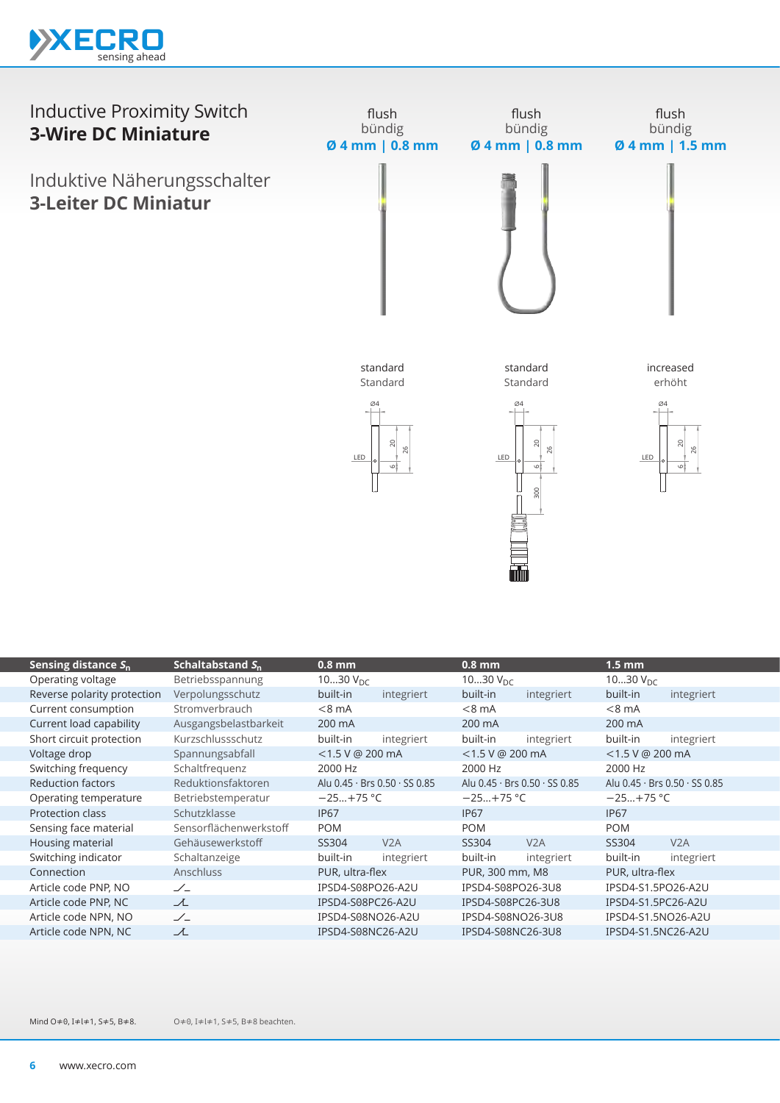



| Sensing distance $S_n$      | Schaltabstand $S_{n}$  | <u>0.</u> 8 mm     |                               | $0.8$ mm             |                                           | $1.5 \text{ mm}$   |                               |  |
|-----------------------------|------------------------|--------------------|-------------------------------|----------------------|-------------------------------------------|--------------------|-------------------------------|--|
| Operating voltage           | Betriebsspannung       | 1030 $V_{DC}$      |                               | 1030 $V_{\text{DC}}$ |                                           | 1030 $V_{DC}$      |                               |  |
| Reverse polarity protection | Verpolungsschutz       | built-in           | integriert                    | built-in             | integriert                                | built-in           | integriert                    |  |
| Current consumption         | Stromverbrauch         | $< 8 \text{ mA}$   |                               | $< 8$ mA             |                                           | $<8$ mA            |                               |  |
| Current load capability     | Ausgangsbelastbarkeit  | 200 mA             |                               | 200 mA               |                                           | 200 mA             |                               |  |
| Short circuit protection    | Kurzschlussschutz      | built-in           | integriert                    | built-in             | integriert                                | built-in           | integriert                    |  |
| Voltage drop                | Spannungsabfall        | $<$ 1.5 V @ 200 mA |                               | $<$ 1.5 V @ 200 mA   |                                           | $<$ 1.5 V @ 200 mA |                               |  |
| Switching frequency         | Schaltfrequenz         | 2000 Hz            |                               | 2000 Hz              |                                           | 2000 Hz            |                               |  |
| <b>Reduction factors</b>    | Reduktionsfaktoren     |                    | Alu 0.45 · Brs 0.50 · SS 0.85 |                      | Alu $0.45 \cdot$ Brs $0.50 \cdot$ SS 0.85 |                    | Alu 0.45 · Brs 0.50 · SS 0.85 |  |
| Operating temperature       | Betriebstemperatur     | $-25+75$ °C        |                               | $-25+75$ °C          |                                           | $-25+75$ °C        |                               |  |
| <b>Protection class</b>     | Schutzklasse           | <b>IP67</b>        |                               | <b>IP67</b>          |                                           | <b>IP67</b>        |                               |  |
| Sensing face material       | Sensorflächenwerkstoff | <b>POM</b>         |                               | <b>POM</b>           |                                           | <b>POM</b>         |                               |  |
| Housing material            | Gehäusewerkstoff       | SS304              | V2A                           | SS304                | V2A                                       | SS304              | V2A                           |  |
| Switching indicator         | Schaltanzeige          | built-in           | integriert                    | built-in             | integriert                                | built-in           | integriert                    |  |
| Connection                  | <b>Anschluss</b>       | PUR, ultra-flex    |                               | PUR, 300 mm, M8      |                                           | PUR, ultra-flex    |                               |  |
| Article code PNP, NO        | $\angle$               | IPSD4-S08PO26-A2U  |                               | IPSD4-S08PO26-3U8    |                                           | IPSD4-S1.5PO26-A2U |                               |  |
| Article code PNP, NC        | ᅩ                      | IPSD4-S08PC26-A2U  |                               | IPSD4-S08PC26-3U8    |                                           | IPSD4-S1.5PC26-A2U |                               |  |
| Article code NPN, NO        | $\angle$               | IPSD4-S08NO26-A2U  |                               | IPSD4-S08NO26-3U8    |                                           | IPSD4-S1.5NO26-A2U |                               |  |
| Article code NPN, NC        | ᆺ                      | IPSD4-S08NC26-A2U  |                               | IPSD4-S08NC26-3U8    |                                           | IPSD4-S1.5NC26-A2U |                               |  |
|                             |                        |                    |                               |                      |                                           |                    |                               |  |

O≠0, I≠l≠1, S≠5, B≠8 beachten. Mind O≠0, I≠l≠1, S≠5, B≠8.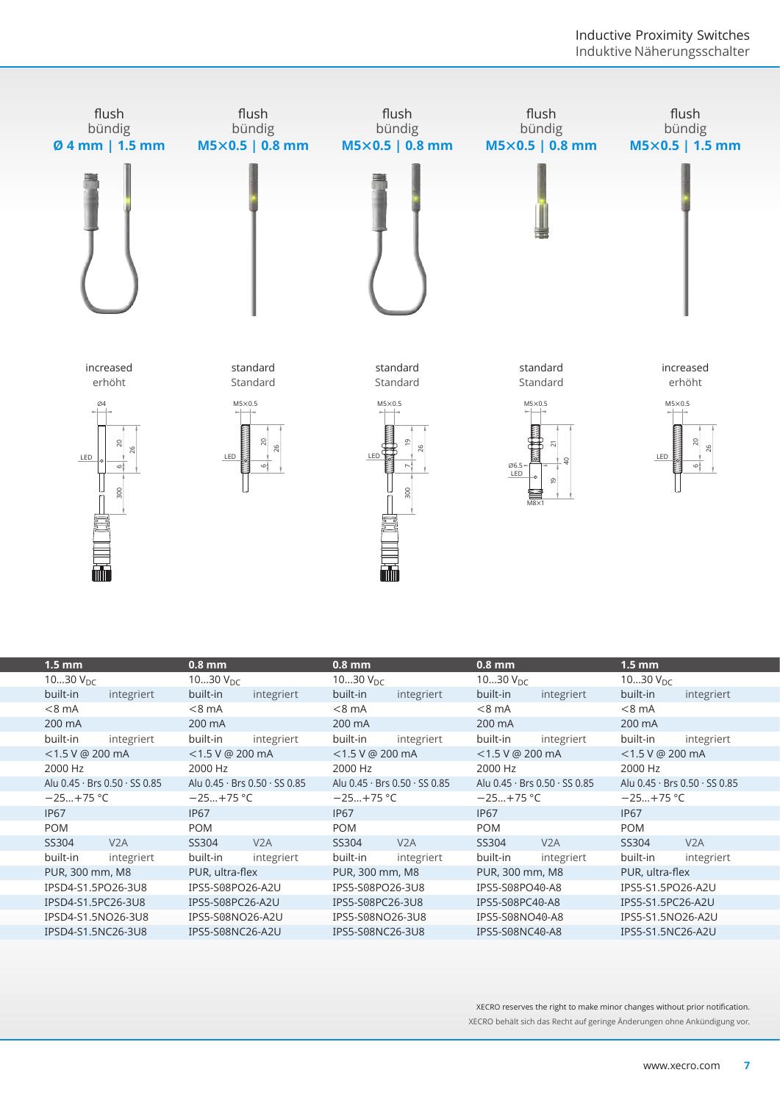

| LED                                    | $\approx$<br>26<br>¦ت<br>300<br><b>mm</b> | LED                | 20<br>26<br>'ు                | LED                | 300<br><b>min</b>             | 06.5<br>LED                   | $M8\times1$       | LED                           | 20<br>‡ٯ          |  |
|----------------------------------------|-------------------------------------------|--------------------|-------------------------------|--------------------|-------------------------------|-------------------------------|-------------------|-------------------------------|-------------------|--|
| $1.5 \text{ mm}$                       |                                           | $0.8$ mm           |                               | $0.8$ mm           |                               | $0.8$ mm                      |                   | $1.5 \text{ mm}$              |                   |  |
| 1030 $V_{DC}$                          |                                           | 1030 $V_{DC}$      |                               | 1030 $V_{DC}$      |                               | 1030 $V_{DC}$                 |                   | 1030 $V_{DC}$                 |                   |  |
| built-in                               | integriert                                | built-in           | integriert                    | built-in           | integriert                    | built-in                      | integriert        | built-in                      | integriert        |  |
| $< 8$ mA                               |                                           | $< 8$ mA           |                               | $< 8$ mA           |                               | $< 8$ mA                      |                   | $< 8$ mA                      |                   |  |
| 200 mA                                 |                                           | 200 mA             |                               | 200 mA             |                               | 200 mA                        |                   | 200 mA                        |                   |  |
| built-in                               | integriert                                | built-in           | integriert                    | built-in           | integriert                    | built-in                      | integriert        | built-in                      | integriert        |  |
| $<$ 1.5 V @ 200 mA                     |                                           | $<$ 1.5 V @ 200 mA |                               | $<$ 1.5 V @ 200 mA |                               | <1.5 V @ 200 mA               |                   | <1.5 V @ 200 mA               |                   |  |
| 2000 Hz                                |                                           | 2000 Hz            |                               | 2000 Hz            |                               | 2000 Hz                       |                   | 2000 Hz                       |                   |  |
|                                        | Alu 0.45 · Brs 0.50 · SS 0.85             |                    | Alu 0.45 · Brs 0.50 · SS 0.85 |                    | Alu 0.45 · Brs 0.50 · SS 0.85 | Alu 0.45 · Brs 0.50 · SS 0.85 |                   | Alu 0.45 · Brs 0.50 · SS 0.85 |                   |  |
| $-25+75$ °C                            |                                           | $-25+75$ °C        |                               | $-25+75$ °C        |                               | $-25+75$ °C                   |                   | $-25+75$ °C                   |                   |  |
| <b>IP67</b>                            |                                           | <b>IP67</b>        |                               | <b>IP67</b>        |                               | <b>IP67</b>                   |                   | <b>IP67</b>                   |                   |  |
| <b>POM</b>                             |                                           | <b>POM</b>         |                               | <b>POM</b>         |                               | <b>POM</b>                    |                   | <b>POM</b>                    |                   |  |
| SS304                                  | V2A                                       | SS304              | V <sub>2</sub> A              | SS304              | V <sub>2</sub> A              | SS304                         | V <sub>2</sub> A  | SS304                         | V <sub>2</sub> A  |  |
| built-in                               | integriert                                | built-in           | integriert                    | built-in           | integriert                    | built-in                      | integriert        | built-in                      | integriert        |  |
| PUR, 300 mm, M8                        |                                           | PUR, ultra-flex    |                               | PUR, 300 mm, M8    |                               | PUR, 300 mm, M8               |                   | PUR, ultra-flex               |                   |  |
|                                        | IPSD4-S1.5PO26-3U8                        | IPS5-S08PO26-A2U   |                               | IPS5-S08PO26-3U8   |                               | IPS5-S08PO40-A8               |                   | IPS5-S1.5PO26-A2U             |                   |  |
| IPSD4-S1.5PC26-3U8                     |                                           | IPS5-S08PC26-A2U   |                               |                    | IPS5-S08PC26-3U8              |                               | IPS5-S08PC40-A8   |                               | IPS5-S1.5PC26-A2U |  |
|                                        | IPSD4-S1.5NO26-3U8                        | IPS5-S08NO26-A2U   |                               |                    | IPS5-S08NO26-3U8              |                               | IPS5-S08NO40-A8   |                               | IPS5-S1.5NO26-A2U |  |
| IPSD4-S1.5NC26-3U8<br>IPS5-S08NC26-A2U |                                           | IPS5-S08NC26-3U8   |                               |                    | IPS5-S08NC40-A8               |                               | IPS5-S1.5NC26-A2U |                               |                   |  |
|                                        |                                           |                    |                               |                    |                               |                               |                   |                               |                   |  |

XECRO reserves the right to make minor changes without prior notification. XECRO behält sich das Recht auf geringe Änderungen ohne Ankündigung vor.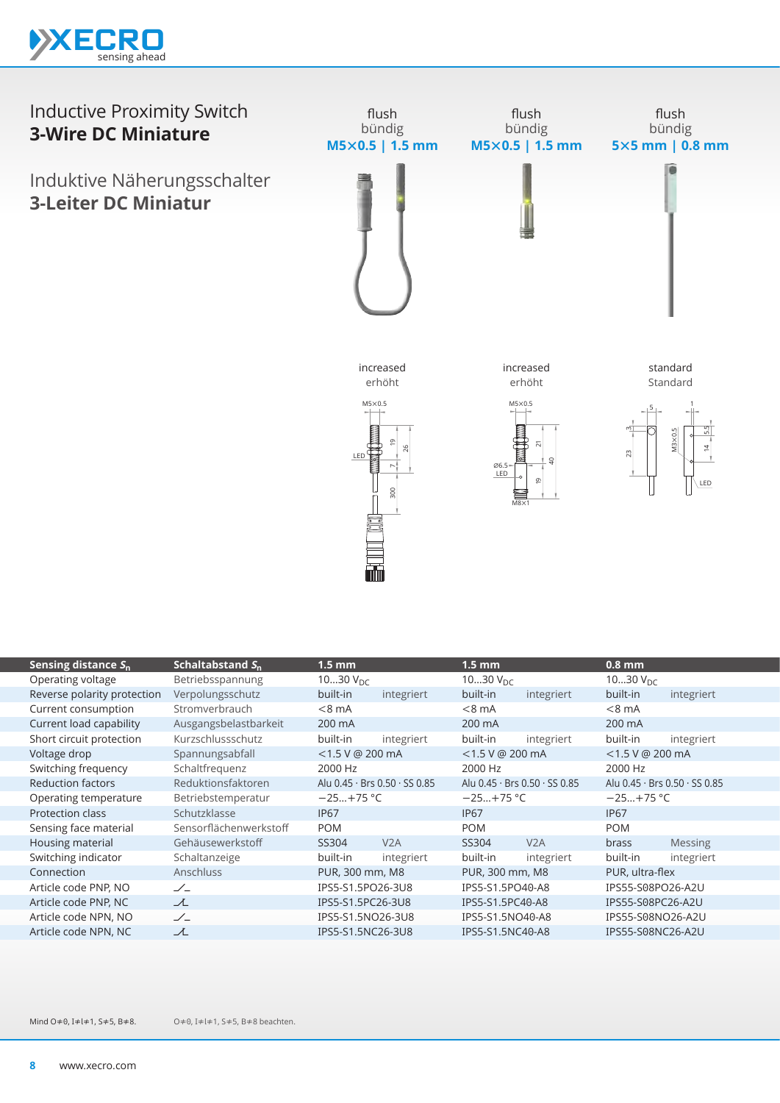

## Inductive Proximity Switch **3-Wire DC Miniature**

Induktive Näherungsschalter **3-Leiter DC Miniatur**



|                             |                        | LED               | ഉ<br>wh                       | 06.5<br>LED      | $\overline{z}$<br>$\overline{4}$<br>٠O<br>$\mathbf{D}$<br>$M8\times1$ | ,,,<br>23            | $M3 \times 0.5$<br>n,<br>칙<br>LED |
|-----------------------------|------------------------|-------------------|-------------------------------|------------------|-----------------------------------------------------------------------|----------------------|-----------------------------------|
| Sensing distance $S_n$      | Schaltabstand $S_n$    | $1.5 \text{ mm}$  |                               | $1.5$ mm         |                                                                       | $0.8$ mm             |                                   |
| Operating voltage           | Betriebsspannung       | 1030 $V_{DC}$     |                               | 1030 $V_{DC}$    |                                                                       | 1030 $V_{\text{DC}}$ |                                   |
| Reverse polarity protection | Verpolungsschutz       | built-in          | integriert                    | built-in         | integriert                                                            | built-in             | integriert                        |
| Current consumption         | Stromverbrauch         | $< 8$ mA          |                               | $< 8$ mA         |                                                                       | $< 8$ mA             |                                   |
| Current load capability     | Ausgangsbelastbarkeit  | 200 mA            |                               | 200 mA           |                                                                       | 200 mA               |                                   |
| Short circuit protection    | Kurzschlussschutz      | built-in          | integriert                    | built-in         | integriert                                                            | built-in             | integriert                        |
| Voltage drop                | Spannungsabfall        | <1.5 V @ 200 mA   |                               | <1.5 V @ 200 mA  |                                                                       | <1.5 V @ 200 mA      |                                   |
| Switching frequency         | Schaltfrequenz         | 2000 Hz           |                               | 2000 Hz          |                                                                       | 2000 Hz              |                                   |
| <b>Reduction factors</b>    | Reduktionsfaktoren     |                   | Alu 0.45 · Brs 0.50 · SS 0.85 |                  | Alu 0.45 · Brs 0.50 · SS 0.85                                         |                      | Alu 0.45 · Brs 0.50 · SS 0.85     |
| Operating temperature       | Betriebstemperatur     | $-25+75$ °C       |                               | $-25+75$ °C      |                                                                       | $-25+75$ °C          |                                   |
| Protection class            | Schutzklasse           | <b>IP67</b>       |                               | <b>IP67</b>      |                                                                       | <b>IP67</b>          |                                   |
| Sensing face material       | Sensorflächenwerkstoff | <b>POM</b>        |                               | <b>POM</b>       |                                                                       | <b>POM</b>           |                                   |
| Housing material            | Gehäusewerkstoff       | SS304             | V2A                           | SS304            | V2A                                                                   | brass                | <b>Messing</b>                    |
| Switching indicator         | Schaltanzeige          | built-in          | integriert                    | built-in         | integriert                                                            | built-in             | integriert                        |
| Connection                  | Anschluss              | PUR, 300 mm, M8   |                               | PUR, 300 mm, M8  |                                                                       | PUR, ultra-flex      |                                   |
| Article code PNP, NO        | $\angle$               | IPS5-S1.5PO26-3U8 |                               | IPS5-S1.5PO40-A8 |                                                                       | IPS55-S08PO26-A2U    |                                   |
| Article code PNP, NC        | 工                      | IPS5-S1.5PC26-3U8 |                               | IPS5-S1.5PC40-A8 |                                                                       | IPS55-S08PC26-A2U    |                                   |
| Article code NPN, NO        | $\angle$               | IPS5-S1.5NO26-3U8 |                               | IPS5-S1.5NO40-A8 |                                                                       | IPS55-S08NO26-A2U    |                                   |
| Article code NPN, NC        | ユ                      | IPS5-S1.5NC26-3U8 |                               | IPS5-S1.5NC40-A8 |                                                                       | IPS55-S08NC26-A2U    |                                   |

O≠0, I≠l≠1, S≠5, B≠8 beachten. Mind O≠0, I≠l≠1, S≠5, B≠8.